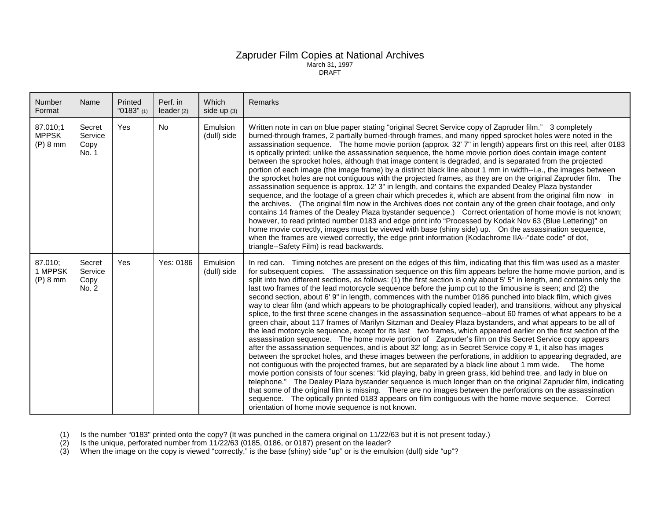## Zapruder Film Copies at National Archives March 31, 1997 DRAFT

| Number<br>Format                       | Name                               | Printed<br>"0183" $(1)$ | Perf. in<br>leader $(2)$ | Which<br>side up $(3)$  | Remarks                                                                                                                                                                                                                                                                                                                                                                                                                                                                                                                                                                                                                                                                                                                                                                                                                                                                                                                                                                                                                                                                                                                                                                                                                                                                                                                                                                                                                                                                                                                                                                                                                                                                                                                                                                                                                                                                                                                                                                                                                               |
|----------------------------------------|------------------------------------|-------------------------|--------------------------|-------------------------|---------------------------------------------------------------------------------------------------------------------------------------------------------------------------------------------------------------------------------------------------------------------------------------------------------------------------------------------------------------------------------------------------------------------------------------------------------------------------------------------------------------------------------------------------------------------------------------------------------------------------------------------------------------------------------------------------------------------------------------------------------------------------------------------------------------------------------------------------------------------------------------------------------------------------------------------------------------------------------------------------------------------------------------------------------------------------------------------------------------------------------------------------------------------------------------------------------------------------------------------------------------------------------------------------------------------------------------------------------------------------------------------------------------------------------------------------------------------------------------------------------------------------------------------------------------------------------------------------------------------------------------------------------------------------------------------------------------------------------------------------------------------------------------------------------------------------------------------------------------------------------------------------------------------------------------------------------------------------------------------------------------------------------------|
| 87.010;1<br><b>MPPSK</b><br>$(P)$ 8 mm | Secret<br>Service<br>Copy<br>No. 1 | <b>Yes</b>              | <b>No</b>                | Emulsion<br>(dull) side | Written note in can on blue paper stating "original Secret Service copy of Zapruder film." 3 completely<br>burned-through frames, 2 partially burned-through frames, and many ripped sprocket holes were noted in the<br>assassination sequence. The home movie portion (approx. 32' 7" in length) appears first on this reel, after 0183<br>is optically printed; unlike the assassination sequence, the home movie portion does contain image content<br>between the sprocket holes, although that image content is degraded, and is separated from the projected<br>portion of each image (the image frame) by a distinct black line about 1 mm in width--i.e., the images between<br>the sprocket holes are not contiguous with the projected frames, as they are on the original Zapruder film. The<br>assassination sequence is approx. 12' 3" in length, and contains the expanded Dealey Plaza bystander<br>sequence, and the footage of a green chair which precedes it, which are absent from the original film now in<br>the archives. (The original film now in the Archives does not contain any of the green chair footage, and only<br>contains 14 frames of the Dealey Plaza bystander sequence.) Correct orientation of home movie is not known;<br>however, to read printed number 0183 and edge print info "Processed by Kodak Nov 63 (Blue Lettering)" on<br>home movie correctly, images must be viewed with base (shiny side) up. On the assassination sequence,<br>when the frames are viewed correctly, the edge print information (Kodachrome IIA--"date code" of dot,<br>triangle--Safety Film) is read backwards.                                                                                                                                                                                                                                                                                                                                                                                          |
| 87.010;<br>1 MPPSK<br>$(P)$ 8 mm       | Secret<br>Service<br>Copy<br>No. 2 | Yes                     | Yes: 0186                | Emulsion<br>(dull) side | In red can. Timing notches are present on the edges of this film, indicating that this film was used as a master<br>for subsequent copies. The assassination sequence on this film appears before the home movie portion, and is<br>split into two different sections, as follows: (1) the first section is only about 5' 5" in length, and contains only the<br>last two frames of the lead motorcycle sequence before the jump cut to the limousine is seen; and (2) the<br>second section, about 6' 9" in length, commences with the number 0186 punched into black film, which gives<br>way to clear film (and which appears to be photographically copied leader), and transitions, without any physical<br>splice, to the first three scene changes in the assassination sequence--about 60 frames of what appears to be a<br>green chair, about 117 frames of Marilyn Sitzman and Dealey Plaza bystanders, and what appears to be all of<br>the lead motorcycle sequence, except for its last two frames, which appeared earlier on the first section of the<br>assassination sequence. The home movie portion of Zapruder's film on this Secret Service copy appears<br>after the assassination sequences, and is about 32' long; as in Secret Service copy # 1, it also has images<br>between the sprocket holes, and these images between the perforations, in addition to appearing degraded, are<br>not contiguous with the projected frames, but are separated by a black line about 1 mm wide. The home<br>movie portion consists of four scenes: "kid playing, baby in green grass, kid behind tree, and lady in blue on<br>telephone." The Dealey Plaza bystander sequence is much longer than on the original Zapruder film, indicating<br>that some of the original film is missing. There are no images between the perforations on the assassination<br>sequence. The optically printed 0183 appears on film contiguous with the home movie sequence. Correct<br>orientation of home movie sequence is not known. |

(1) Is the number "0183" printed onto the copy? (It was punched in the camera original on 11/22/63 but it is not present today.)

(2) Is the unique, perforated number from 11/22/63 (0185, 0186, or 0187) present on the leader?

 $(3)$  When the image on the copy is viewed "correctly," is the base (shiny) side "up" or is the emulsion (dull) side "up"?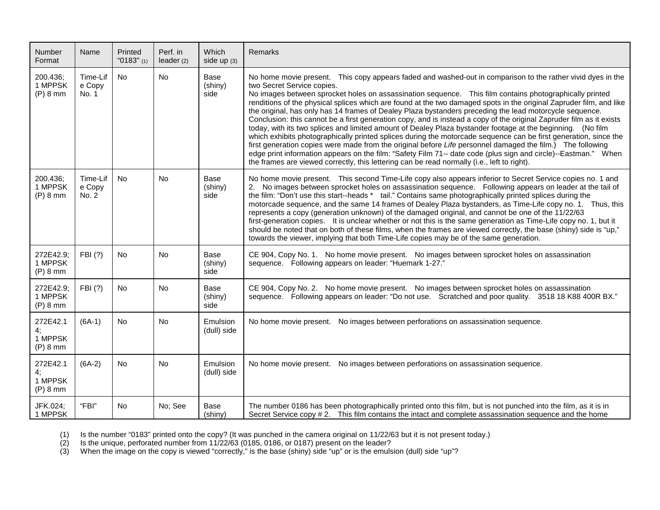| <b>Number</b><br>Format                 | Name                        | Printed<br>"0183" (1) | Perf. in<br>leader(2) | Which<br>side up $(3)$  | Remarks                                                                                                                                                                                                                                                                                                                                                                                                                                                                                                                                                                                                                                                                                                                                                                                                                                                                                                                                                                                                                                                                                                                                                                           |
|-----------------------------------------|-----------------------------|-----------------------|-----------------------|-------------------------|-----------------------------------------------------------------------------------------------------------------------------------------------------------------------------------------------------------------------------------------------------------------------------------------------------------------------------------------------------------------------------------------------------------------------------------------------------------------------------------------------------------------------------------------------------------------------------------------------------------------------------------------------------------------------------------------------------------------------------------------------------------------------------------------------------------------------------------------------------------------------------------------------------------------------------------------------------------------------------------------------------------------------------------------------------------------------------------------------------------------------------------------------------------------------------------|
| 200.436;<br>1 MPPSK<br>$(P)$ 8 mm       | Time-Lif<br>e Copy<br>No. 1 | No                    | No                    | Base<br>(shiny)<br>side | No home movie present. This copy appears faded and washed-out in comparison to the rather vivid dyes in the<br>two Secret Service copies.<br>No images between sprocket holes on assassination sequence.  This film contains photographically printed<br>renditions of the physical splices which are found at the two damaged spots in the original Zapruder film, and like<br>the original, has only has 14 frames of Dealey Plaza bystanders preceding the lead motorcycle sequence.<br>Conclusion: this cannot be a first generation copy, and is instead a copy of the original Zapruder film as it exists<br>today, with its two splices and limited amount of Dealey Plaza bystander footage at the beginning. (No film<br>which exhibits photographically printed splices during the motorcade sequence can be first generation, since the<br>first generation copies were made from the original before Life personnel damaged the film.) The following<br>edge print information appears on the film: "Safety Film 71-- date code (plus sign and circle)--Eastman." When<br>the frames are viewed correctly, this lettering can be read normally (i.e., left to right). |
| 200.436;<br>1 MPPSK<br>$(P)$ 8 mm       | Time-Lif<br>e Copy<br>No. 2 | <b>No</b>             | No                    | Base<br>(shiny)<br>side | No home movie present. This second Time-Life copy also appears inferior to Secret Service copies no. 1 and<br>2. No images between sprocket holes on assassination sequence. Following appears on leader at the tail of<br>the film: "Don't use this start--heads * tail." Contains same photographically printed splices during the<br>motorcade sequence, and the same 14 frames of Dealey Plaza bystanders, as Time-Life copy no. 1. Thus, this<br>represents a copy (generation unknown) of the damaged original, and cannot be one of the 11/22/63<br>first-generation copies. It is unclear whether or not this is the same generation as Time-Life copy no. 1, but it<br>should be noted that on both of these films, when the frames are viewed correctly, the base (shiny) side is "up,"<br>towards the viewer, implying that both Time-Life copies may be of the same generation.                                                                                                                                                                                                                                                                                       |
| 272E42.9;<br>1 MPPSK<br>$(P)$ 8 mm      | FBI (?)                     | <b>No</b>             | No                    | Base<br>(shiny)<br>side | CE 904, Copy No. 1. No home movie present. No images between sprocket holes on assassination<br>sequence. Following appears on leader: "Huemark 1-27."                                                                                                                                                                                                                                                                                                                                                                                                                                                                                                                                                                                                                                                                                                                                                                                                                                                                                                                                                                                                                            |
| 272E42.9;<br>1 MPPSK<br>$(P)$ 8 mm      | FBI (?)                     | No                    | No                    | Base<br>(shiny)<br>side | CE 904, Copy No. 2. No home movie present. No images between sprocket holes on assassination<br>sequence. Following appears on leader: "Do not use. Scratched and poor quality. 3518 18 K88 400R BX."                                                                                                                                                                                                                                                                                                                                                                                                                                                                                                                                                                                                                                                                                                                                                                                                                                                                                                                                                                             |
| 272E42.1<br>4;<br>1 MPPSK<br>$(P)$ 8 mm | $(6A-1)$                    | No                    | <b>No</b>             | Emulsion<br>(dull) side | No home movie present. No images between perforations on assassination sequence.                                                                                                                                                                                                                                                                                                                                                                                                                                                                                                                                                                                                                                                                                                                                                                                                                                                                                                                                                                                                                                                                                                  |
| 272E42.1<br>4;<br>1 MPPSK<br>$(P)$ 8 mm | $(6A-2)$                    | No                    | <b>No</b>             | Emulsion<br>(dull) side | No home movie present. No images between perforations on assassination sequence.                                                                                                                                                                                                                                                                                                                                                                                                                                                                                                                                                                                                                                                                                                                                                                                                                                                                                                                                                                                                                                                                                                  |
| JFK.024;<br>1 MPPSK                     | "FBI"                       | <b>No</b>             | No; See               | Base<br>(shiny)         | The number 0186 has been photographically printed onto this film, but is not punched into the film, as it is in<br>Secret Service copy # 2. This film contains the intact and complete assassination sequence and the home                                                                                                                                                                                                                                                                                                                                                                                                                                                                                                                                                                                                                                                                                                                                                                                                                                                                                                                                                        |

(1) Is the number "0183" printed onto the copy? (It was punched in the camera original on 11/22/63 but it is not present today.)

(2) Is the unique, perforated number from 11/22/63 (0185, 0186, or 0187) present on the leader?

(3) When the image on the copy is viewed "correctly," is the base (shiny) side "up" or is the emulsion (dull) side "up"?